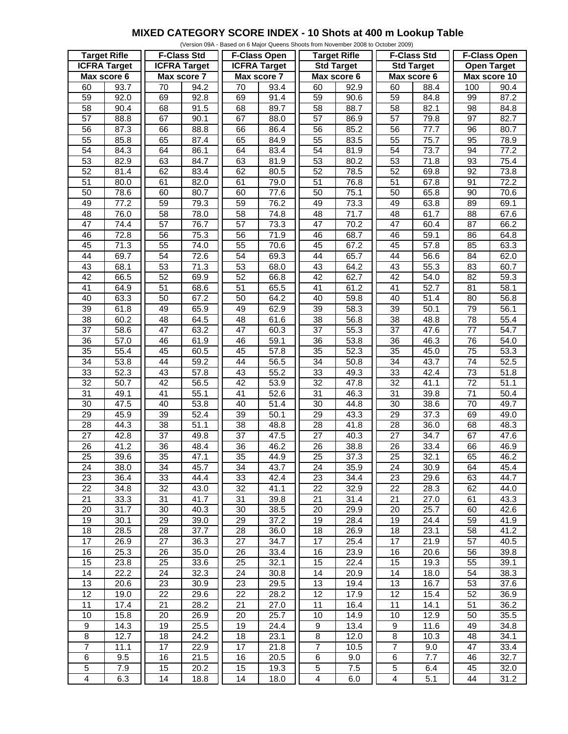## **MIXED CATEGORY SCORE INDEX - 10 Shots at 400 m Lookup Table**

| (Version 09A - Based on 6 Major Queens Shoots from November 2008 to October 2009) |      |                     |                   |                     |      |                     |      |                    |      |                     |                   |
|-----------------------------------------------------------------------------------|------|---------------------|-------------------|---------------------|------|---------------------|------|--------------------|------|---------------------|-------------------|
| <b>Target Rifle</b>                                                               |      | <b>F-Class Std</b>  |                   | <b>F-Class Open</b> |      | <b>Target Rifle</b> |      | <b>F-Class Std</b> |      | <b>F-Class Open</b> |                   |
| <b>ICFRA Target</b>                                                               |      | <b>ICFRA Target</b> |                   | <b>ICFRA Target</b> |      | <b>Std Target</b>   |      | <b>Std Target</b>  |      | <b>Open Target</b>  |                   |
| Max score 6                                                                       |      | Max score 7         |                   | Max score 7         |      | Max score 6         |      | Max score 6        |      | Max score 10        |                   |
| 60                                                                                | 93.7 | 70                  | 94.2              | 70                  | 93.4 | 60                  | 92.9 | 60                 | 88.4 | 100                 | 90.4              |
| $\overline{59}$                                                                   | 92.0 | 69                  | 92.8              | 69                  | 91.4 | 59                  | 90.6 | 59                 | 84.8 | 99                  | 87.2              |
|                                                                                   |      |                     |                   |                     |      |                     |      |                    |      |                     |                   |
| 58                                                                                | 90.4 | 68                  | 91.5              | 68                  | 89.7 | 58                  | 88.7 | 58                 | 82.1 | 98                  | 84.8              |
| 57                                                                                | 88.8 | 67                  | 90.1              | 67                  | 88.0 | $\overline{57}$     | 86.9 | 57                 | 79.8 | 97                  | 82.7              |
| $\overline{56}$                                                                   | 87.3 | 66                  | 88.8              | 66                  | 86.4 | 56                  | 85.2 | 56                 | 77.7 | 96                  | 80.7              |
| 55                                                                                | 85.8 | 65                  | 87.4              | 65                  | 84.9 | 55                  | 83.5 | 55                 | 75.7 | 95                  | 78.9              |
| 54                                                                                | 84.3 | 64                  | 86.1              | 64                  | 83.4 | 54                  | 81.9 | 54                 | 73.7 | 94                  | 77.2              |
| 53                                                                                | 82.9 | 63                  | 84.7              | 63                  | 81.9 | 53                  | 80.2 | 53                 | 71.8 | 93                  | 75.4              |
| 52                                                                                | 81.4 | 62                  | 83.4              | 62                  | 80.5 | 52                  | 78.5 | 52                 | 69.8 | 92                  | 73.8              |
| $\overline{51}$                                                                   | 80.0 | 61                  | 82.0              | 61                  | 79.0 | 51                  | 76.8 | $\overline{51}$    | 67.8 | 91                  | 72.2              |
| 50                                                                                | 78.6 | 60                  | 80.7              | 60                  | 77.6 | 50                  | 75.1 | 50                 | 65.8 | 90                  | 70.6              |
| 49                                                                                | 77.2 | 59                  | 79.3              | 59                  | 76.2 | 49                  | 73.3 | 49                 | 63.8 | 89                  | 69.1              |
| 48                                                                                | 76.0 | 58                  | 78.0              | 58                  | 74.8 | 48                  | 71.7 | 48                 | 61.7 | 88                  | 67.6              |
| $\overline{47}$                                                                   | 74.4 | 57                  | 76.7              | $\overline{57}$     | 73.3 | 47                  | 70.2 | 47                 | 60.4 | $\overline{87}$     | 66.2              |
| 46                                                                                | 72.8 | 56                  | 75.3              | 56                  | 71.9 | 46                  | 68.7 | 46                 | 59.1 | 86                  | 64.8              |
| 45                                                                                | 71.3 | $\overline{55}$     | 74.0              | 55                  | 70.6 | 45                  | 67.2 | 45                 | 57.8 | 85                  | 63.3              |
| 44                                                                                | 69.7 | $\overline{54}$     | $\overline{72.6}$ | $\overline{54}$     | 69.3 | 44                  | 65.7 | $\overline{44}$    | 56.6 | 84                  | 62.0              |
|                                                                                   |      |                     |                   |                     |      |                     |      |                    |      |                     |                   |
| 43                                                                                | 68.1 | 53                  | 71.3              | 53                  | 68.0 | 43                  | 64.2 | 43                 | 55.3 | 83                  | 60.7              |
| $\overline{42}$                                                                   | 66.5 | 52                  | 69.9              | 52                  | 66.8 | $\overline{42}$     | 62.7 | $\overline{42}$    | 54.0 | 82                  | 59.3              |
| $\overline{41}$                                                                   | 64.9 | $\overline{51}$     | 68.6              | $\overline{51}$     | 65.5 | 41                  | 61.2 | $\overline{41}$    | 52.7 | 81                  | 58.1              |
| 40                                                                                | 63.3 | 50                  | 67.2              | 50                  | 64.2 | 40                  | 59.8 | 40                 | 51.4 | 80                  | 56.8              |
| 39                                                                                | 61.8 | 49                  | 65.9              | 49                  | 62.9 | 39                  | 58.3 | 39                 | 50.1 | 79                  | 56.1              |
| 38                                                                                | 60.2 | 48                  | 64.5              | 48                  | 61.6 | 38                  | 56.8 | 38                 | 48.8 | 78                  | 55.4              |
| 37                                                                                | 58.6 | $\overline{47}$     | 63.2              | 47                  | 60.3 | $\overline{37}$     | 55.3 | 37                 | 47.6 | 77                  | $\overline{54.7}$ |
| $\overline{36}$                                                                   | 57.0 | 46                  | 61.9              | 46                  | 59.1 | $\overline{36}$     | 53.8 | 36                 | 46.3 | 76                  | 54.0              |
| $\overline{35}$                                                                   | 55.4 | 45                  | 60.5              | 45                  | 57.8 | 35                  | 52.3 | 35                 | 45.0 | 75                  | 53.3              |
| $\overline{34}$                                                                   | 53.8 | 44                  | 59.2              | 44                  | 56.5 | 34                  | 50.8 | 34                 | 43.7 | 74                  | 52.5              |
| 33                                                                                | 52.3 | 43                  | 57.8              | 43                  | 55.2 | 33                  | 49.3 | 33                 | 42.4 | 73                  | 51.8              |
| $\overline{32}$                                                                   | 50.7 | $\overline{42}$     | 56.5              | $\overline{42}$     | 53.9 | $\overline{32}$     | 47.8 | $\overline{32}$    | 41.1 | $\overline{72}$     | 51.1              |
| $\overline{31}$                                                                   | 49.1 | $\overline{41}$     | 55.1              | $\overline{41}$     | 52.6 | 31                  | 46.3 | 31                 | 39.8 | $\overline{71}$     | 50.4              |
| 30                                                                                | 47.5 | 40                  | 53.8              | 40                  | 51.4 | 30                  | 44.8 | 30                 | 38.6 | 70                  | 49.7              |
| $\overline{29}$                                                                   | 45.9 | 39                  | $\overline{52.4}$ | 39                  | 50.1 | $\overline{29}$     | 43.3 | 29                 | 37.3 | 69                  | 49.0              |
| 28                                                                                | 44.3 | 38                  | 51.1              | 38                  | 48.8 | 28                  | 41.8 | 28                 | 36.0 | 68                  | 48.3              |
| $\overline{27}$                                                                   | 42.8 | $\overline{37}$     | 49.8              | 37                  | 47.5 | $\overline{27}$     | 40.3 | 27                 | 34.7 | 67                  | 47.6              |
| 26                                                                                |      | 36                  |                   |                     |      | $\overline{26}$     |      |                    |      |                     |                   |
|                                                                                   | 41.2 |                     | 48.4              | 36                  | 46.2 |                     | 38.8 | 26                 | 33.4 | 66                  | 46.9              |
| $\overline{25}$                                                                   | 39.6 | 35                  | 47.1              | 35                  | 44.9 | $\overline{25}$     | 37.3 | $\overline{25}$    | 32.1 | 65                  | 46.2              |
| 24                                                                                | 38.0 | 34                  | 45.7              | 34                  | 43.7 | 24                  | 35.9 | 24                 | 30.9 | 64                  | 45.4              |
| 23                                                                                | 36.4 | 33                  | 44.4              | 33                  | 42.4 | 23                  | 34.4 | 23                 | 29.6 | 63                  | 44.7              |
| 22                                                                                | 34.8 | 32                  | 43.0              | 32                  | 41.1 | 22                  | 32.9 | 22                 | 28.3 | 62                  | 44.0              |
| 21                                                                                | 33.3 | 31                  | 41.7              | 31                  | 39.8 | 21                  | 31.4 | 21                 | 27.0 | 61                  | 43.3              |
| 20                                                                                | 31.7 | 30                  | 40.3              | 30                  | 38.5 | 20                  | 29.9 | 20                 | 25.7 | 60                  | 42.6              |
| 19                                                                                | 30.1 | 29                  | 39.0              | 29                  | 37.2 | 19                  | 28.4 | 19                 | 24.4 | 59                  | 41.9              |
| 18                                                                                | 28.5 | 28                  | 37.7              | 28                  | 36.0 | 18                  | 26.9 | 18                 | 23.1 | 58                  | 41.2              |
| $\overline{17}$                                                                   | 26.9 | $\overline{27}$     | 36.3              | 27                  | 34.7 | 17                  | 25.4 | 17                 | 21.9 | $\overline{57}$     | $\overline{40.5}$ |
| 16                                                                                | 25.3 | 26                  | 35.0              | 26                  | 33.4 | 16                  | 23.9 | 16                 | 20.6 | 56                  | 39.8              |
| 15                                                                                | 23.8 | 25                  | 33.6              | 25                  | 32.1 | 15                  | 22.4 | 15                 | 19.3 | 55                  | 39.1              |
| 14                                                                                | 22.2 | $\overline{24}$     | 32.3              | 24                  | 30.8 | 14                  | 20.9 | 14                 | 18.0 | 54                  | 38.3              |
| 13                                                                                | 20.6 | 23                  | 30.9              | 23                  | 29.5 | 13                  | 19.4 | 13                 | 16.7 | 53                  | 37.6              |
| $\overline{12}$                                                                   | 19.0 | 22                  | 29.6              | 22                  | 28.2 | 12                  | 17.9 | 12                 | 15.4 | 52                  | 36.9              |
| 11                                                                                | 17.4 | 21                  | 28.2              | 21                  | 27.0 | 11                  | 16.4 | 11                 | 14.1 | 51                  | 36.2              |
| 10                                                                                | 15.8 | 20                  | 26.9              | 20                  | 25.7 | 10                  | 14.9 | 10                 | 12.9 | 50                  | 35.5              |
| 9                                                                                 | 14.3 | 19                  | 25.5              | 19                  | 24.4 | 9                   | 13.4 | 9                  | 11.6 | 49                  | 34.8              |
|                                                                                   |      |                     |                   |                     |      |                     |      |                    |      |                     |                   |
| 8                                                                                 | 12.7 | 18                  | 24.2              | 18                  | 23.1 | 8                   | 12.0 | 8                  | 10.3 | 48                  | 34.1              |
| $\overline{7}$                                                                    | 11.1 | 17                  | 22.9              | 17                  | 21.8 | $\overline{7}$      | 10.5 | $\boldsymbol{7}$   | 9.0  | 47                  | 33.4              |
| $\overline{6}$                                                                    | 9.5  | 16                  | $\overline{2}1.5$ | 16                  | 20.5 | 6                   | 9.0  | 6                  | 7.7  | 46                  | 32.7              |
| $\overline{5}$                                                                    | 7.9  | 15                  | 20.2              | 15                  | 19.3 | 5                   | 7.5  | 5                  | 6.4  | 45                  | 32.0              |
| $\overline{4}$                                                                    | 6.3  | 14                  | 18.8              | 14                  | 18.0 | 4                   | 6.0  | 4                  | 5.1  | 44                  | 31.2              |